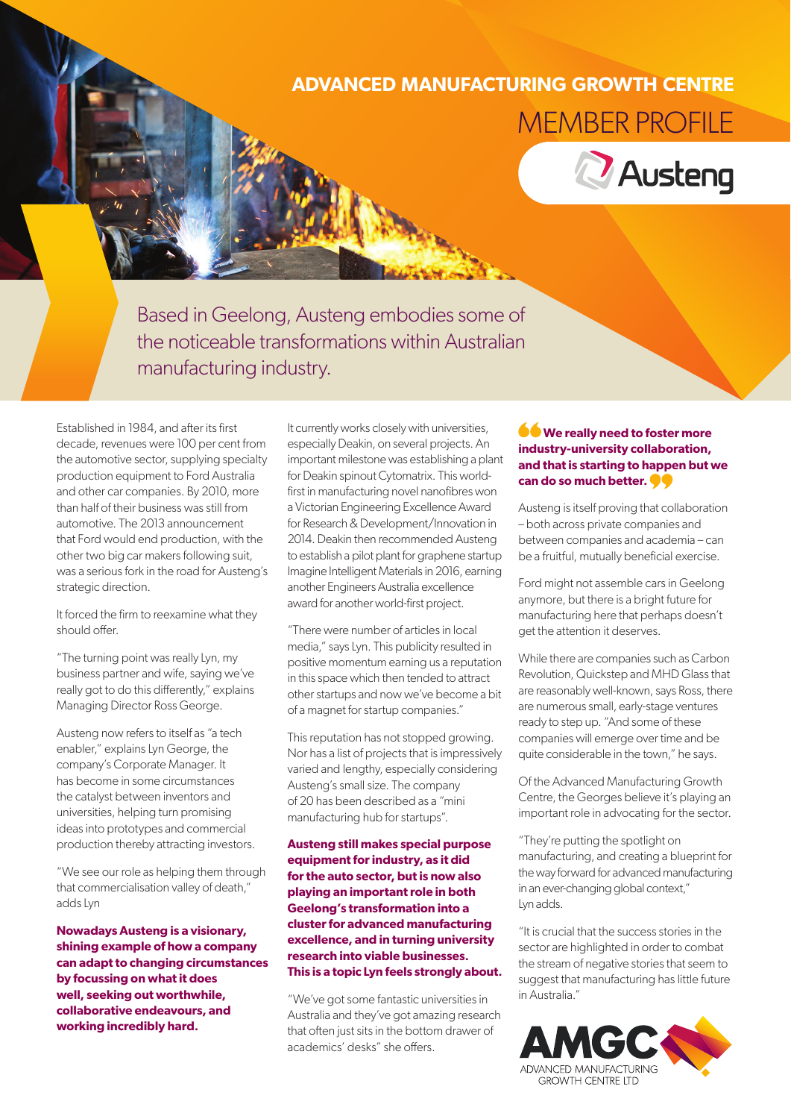## **ADVANCED MANUFACTURING GROWTH CENTRE** MEMBER PROFILE



Based in Geelong, Austeng embodies some of the noticeable transformations within Australian manufacturing industry.

Established in 1984, and after its first decade, revenues were 100 per cent from the automotive sector, supplying specialty production equipment to Ford Australia and other car companies. By 2010, more than half of their business was still from automotive. The 2013 announcement that Ford would end production, with the other two big car makers following suit, was a serious fork in the road for Austeng's strategic direction.

It forced the firm to reexamine what they should offer.

"The turning point was really Lyn, my business partner and wife, saying we've really got to do this differently," explains Managing Director Ross George.

Austeng now refers to itself as "a tech enabler," explains Lyn George, the company's Corporate Manager. It has become in some circumstances the catalyst between inventors and universities, helping turn promising ideas into prototypes and commercial production thereby attracting investors.

"We see our role as helping them through that commercialisation valley of death," adds Lyn

**Nowadays Austeng is a visionary, shining example of how a company can adapt to changing circumstances by focussing on what it does well, seeking out worthwhile, collaborative endeavours, and working incredibly hard.**

It currently works closely with universities, especially Deakin, on several projects. An important milestone was establishing a plant for Deakin spinout Cytomatrix. This worldfirst in manufacturing novel nanofibres won a Victorian Engineering Excellence Award for Research & Development/Innovation in 2014. Deakin then recommended Austeng to establish a pilot plant for graphene startup Imagine Intelligent Materials in 2016, earning another Engineers Australia excellence award for another world-first project.

"There were number of articles in local media," says Lyn. This publicity resulted in positive momentum earning us a reputation in this space which then tended to attract other startups and now we've become a bit of a magnet for startup companies."

This reputation has not stopped growing. Nor has a list of projects that is impressively varied and lengthy, especially considering Austeng's small size. The company of 20 has been described as a "mini manufacturing hub for startups".

**Austeng still makes special purpose equipment for industry, as it did for the auto sector, but is now also playing an important role in both Geelong's transformation into a cluster for advanced manufacturing excellence, and in turning university research into viable businesses. This is a topic Lyn feels strongly about.**

"We've got some fantastic universities in Australia and they've got amazing research that often just sits in the bottom drawer of academics' desks" she offers.

## **We really need to foster more industry-university collaboration, and that is starting to happen but we can do so much better.**

Austeng is itself proving that collaboration – both across private companies and between companies and academia – can be a fruitful, mutually beneficial exercise.

Ford might not assemble cars in Geelong anymore, but there is a bright future for manufacturing here that perhaps doesn't get the attention it deserves.

While there are companies such as Carbon Revolution, Quickstep and MHD Glass that are reasonably well-known, says Ross, there are numerous small, early-stage ventures ready to step up. "And some of these companies will emerge over time and be quite considerable in the town," he says.

Of the Advanced Manufacturing Growth Centre, the Georges believe it's playing an important role in advocating for the sector.

"They're putting the spotlight on manufacturing, and creating a blueprint for the way forward for advanced manufacturing in an ever-changing global context," Lyn adds.

"It is crucial that the success stories in the sector are highlighted in order to combat the stream of negative stories that seem to suggest that manufacturing has little future in Australia."